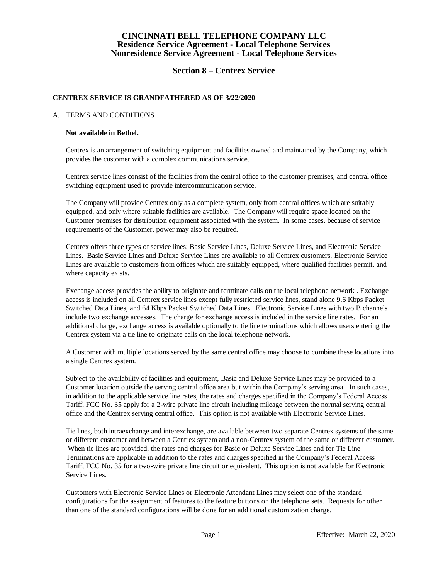## **Section 8 – Centrex Service**

#### **CENTREX SERVICE IS GRANDFATHERED AS OF 3/22/2020**

#### A. TERMS AND CONDITIONS

#### **Not available in Bethel.**

Centrex is an arrangement of switching equipment and facilities owned and maintained by the Company, which provides the customer with a complex communications service.

Centrex service lines consist of the facilities from the central office to the customer premises, and central office switching equipment used to provide intercommunication service.

The Company will provide Centrex only as a complete system, only from central offices which are suitably equipped, and only where suitable facilities are available. The Company will require space located on the Customer premises for distribution equipment associated with the system. In some cases, because of service requirements of the Customer, power may also be required.

Centrex offers three types of service lines; Basic Service Lines, Deluxe Service Lines, and Electronic Service Lines. Basic Service Lines and Deluxe Service Lines are available to all Centrex customers. Electronic Service Lines are available to customers from offices which are suitably equipped, where qualified facilities permit, and where capacity exists.

Exchange access provides the ability to originate and terminate calls on the local telephone network . Exchange access is included on all Centrex service lines except fully restricted service lines, stand alone 9.6 Kbps Packet Switched Data Lines, and 64 Kbps Packet Switched Data Lines. Electronic Service Lines with two B channels include two exchange accesses. The charge for exchange access is included in the service line rates. For an additional charge, exchange access is available optionally to tie line terminations which allows users entering the Centrex system via a tie line to originate calls on the local telephone network.

A Customer with multiple locations served by the same central office may choose to combine these locations into a single Centrex system.

Subject to the availability of facilities and equipment, Basic and Deluxe Service Lines may be provided to a Customer location outside the serving central office area but within the Company's serving area. In such cases, in addition to the applicable service line rates, the rates and charges specified in the Company's Federal Access Tariff, FCC No. 35 apply for a 2-wire private line circuit including mileage between the normal serving central office and the Centrex serving central office. This option is not available with Electronic Service Lines.

Tie lines, both intraexchange and interexchange, are available between two separate Centrex systems of the same or different customer and between a Centrex system and a non-Centrex system of the same or different customer. When tie lines are provided, the rates and charges for Basic or Deluxe Service Lines and for Tie Line Terminations are applicable in addition to the rates and charges specified in the Company's Federal Access Tariff, FCC No. 35 for a two-wire private line circuit or equivalent. This option is not available for Electronic Service Lines.

Customers with Electronic Service Lines or Electronic Attendant Lines may select one of the standard configurations for the assignment of features to the feature buttons on the telephone sets. Requests for other than one of the standard configurations will be done for an additional customization charge.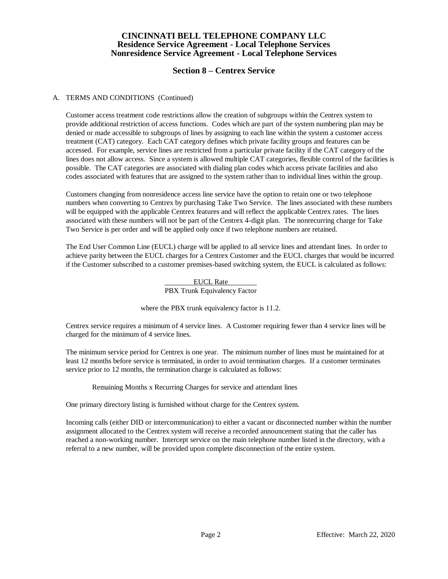## **Section 8 – Centrex Service**

#### A. TERMS AND CONDITIONS (Continued)

Customer access treatment code restrictions allow the creation of subgroups within the Centrex system to provide additional restriction of access functions. Codes which are part of the system numbering plan may be denied or made accessible to subgroups of lines by assigning to each line within the system a customer access treatment (CAT) category. Each CAT category defines which private facility groups and features can be accessed. For example, service lines are restricted from a particular private facility if the CAT category of the lines does not allow access. Since a system is allowed multiple CAT categories, flexible control of the facilities is possible. The CAT categories are associated with dialing plan codes which access private facilities and also codes associated with features that are assigned to the system rather than to individual lines within the group.

Customers changing from nonresidence access line service have the option to retain one or two telephone numbers when converting to Centrex by purchasing Take Two Service. The lines associated with these numbers will be equipped with the applicable Centrex features and will reflect the applicable Centrex rates. The lines associated with these numbers will not be part of the Centrex 4-digit plan. The nonrecurring charge for Take Two Service is per order and will be applied only once if two telephone numbers are retained.

The End User Common Line (EUCL) charge will be applied to all service lines and attendant lines. In order to achieve parity between the EUCL charges for a Centrex Customer and the EUCL charges that would be incurred if the Customer subscribed to a customer premises-based switching system, the EUCL is calculated as follows:

> EUCL Rate PBX Trunk Equivalency Factor

where the PBX trunk equivalency factor is 11.2.

Centrex service requires a minimum of 4 service lines. A Customer requiring fewer than 4 service lines will be charged for the minimum of 4 service lines.

The minimum service period for Centrex is one year. The minimum number of lines must be maintained for at least 12 months before service is terminated, in order to avoid termination charges. If a customer terminates service prior to 12 months, the termination charge is calculated as follows:

Remaining Months x Recurring Charges for service and attendant lines

One primary directory listing is furnished without charge for the Centrex system.

Incoming calls (either DID or intercommunication) to either a vacant or disconnected number within the number assignment allocated to the Centrex system will receive a recorded announcement stating that the caller has reached a non-working number. Intercept service on the main telephone number listed in the directory, with a referral to a new number, will be provided upon complete disconnection of the entire system.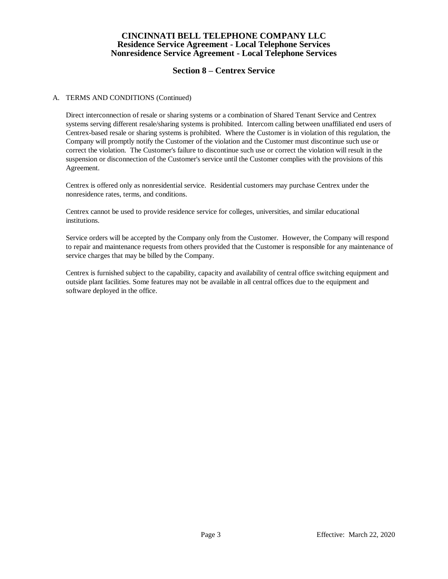# **Section 8 – Centrex Service**

#### A. TERMS AND CONDITIONS (Continued)

Direct interconnection of resale or sharing systems or a combination of Shared Tenant Service and Centrex systems serving different resale/sharing systems is prohibited. Intercom calling between unaffiliated end users of Centrex-based resale or sharing systems is prohibited. Where the Customer is in violation of this regulation, the Company will promptly notify the Customer of the violation and the Customer must discontinue such use or correct the violation. The Customer's failure to discontinue such use or correct the violation will result in the suspension or disconnection of the Customer's service until the Customer complies with the provisions of this Agreement.

Centrex is offered only as nonresidential service. Residential customers may purchase Centrex under the nonresidence rates, terms, and conditions.

Centrex cannot be used to provide residence service for colleges, universities, and similar educational institutions.

Service orders will be accepted by the Company only from the Customer. However, the Company will respond to repair and maintenance requests from others provided that the Customer is responsible for any maintenance of service charges that may be billed by the Company.

Centrex is furnished subject to the capability, capacity and availability of central office switching equipment and outside plant facilities. Some features may not be available in all central offices due to the equipment and software deployed in the office.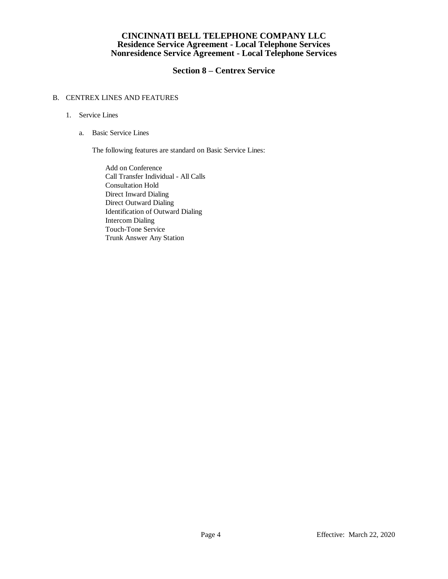## **Section 8 – Centrex Service**

### B. CENTREX LINES AND FEATURES

- 1. Service Lines
	- a. Basic Service Lines

The following features are standard on Basic Service Lines:

Add on Conference Call Transfer Individual - All Calls Consultation Hold Direct Inward Dialing Direct Outward Dialing Identification of Outward Dialing Intercom Dialing Touch-Tone Service Trunk Answer Any Station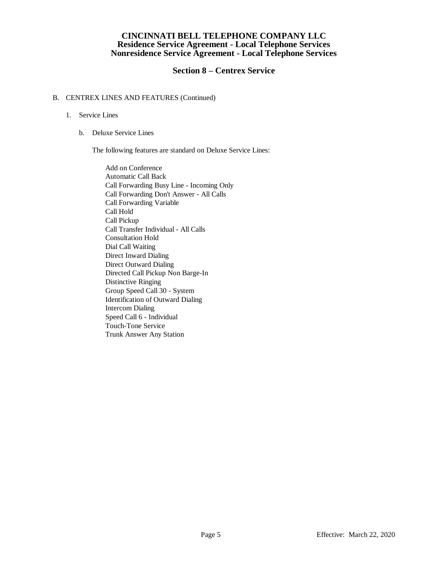## **Section 8 – Centrex Service**

#### B. CENTREX LINES AND FEATURES (Continued)

#### 1. Service Lines

b. Deluxe Service Lines

The following features are standard on Deluxe Service Lines:

Add on Conference Automatic Call Back Call Forwarding Busy Line - Incoming Only Call Forwarding Don't Answer - All Calls Call Forwarding Variable Call Hold Call Pickup Call Transfer Individual - All Calls Consultation Hold Dial Call Waiting Direct Inward Dialing Direct Outward Dialing Directed Call Pickup Non Barge-In Distinctive Ringing Group Speed Call 30 - System Identification of Outward Dialing Intercom Dialing Speed Call 6 - Individual Touch-Tone Service Trunk Answer Any Station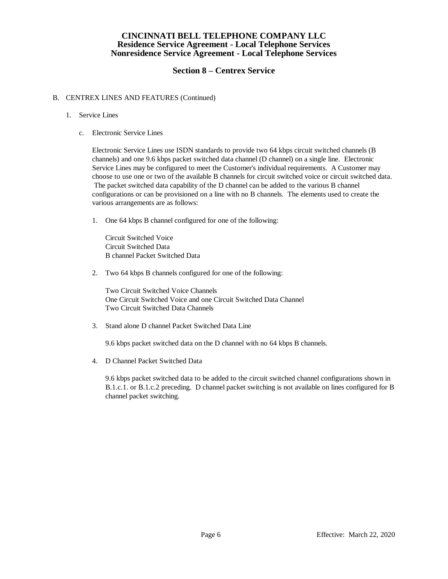## **Section 8 – Centrex Service**

#### B. CENTREX LINES AND FEATURES (Continued)

#### 1. Service Lines

c. Electronic Service Lines

Electronic Service Lines use ISDN standards to provide two 64 kbps circuit switched channels (B channels) and one 9.6 kbps packet switched data channel (D channel) on a single line. Electronic Service Lines may be configured to meet the Customer's individual requirements. A Customer may choose to use one or two of the available B channels for circuit switched voice or circuit switched data. The packet switched data capability of the D channel can be added to the various B channel configurations or can be provisioned on a line with no B channels. The elements used to create the various arrangements are as follows:

1. One 64 kbps B channel configured for one of the following:

Circuit Switched Voice Circuit Switched Data B channel Packet Switched Data

2. Two 64 kbps B channels configured for one of the following:

Two Circuit Switched Voice Channels One Circuit Switched Voice and one Circuit Switched Data Channel Two Circuit Switched Data Channels

3. Stand alone D channel Packet Switched Data Line

9.6 kbps packet switched data on the D channel with no 64 kbps B channels.

4. D Channel Packet Switched Data

9.6 kbps packet switched data to be added to the circuit switched channel configurations shown in B.1.c.1. or B.1.c.2 preceding. D channel packet switching is not available on lines configured for B channel packet switching.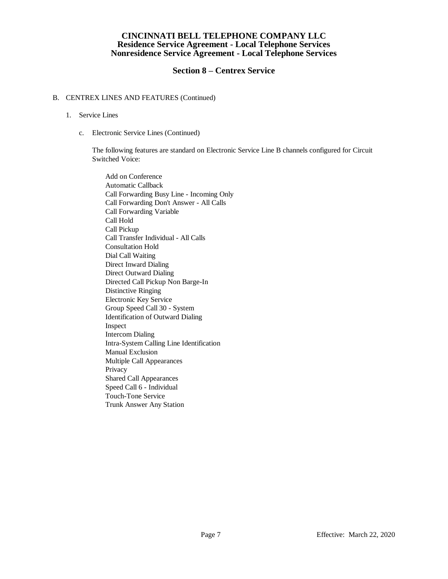## **Section 8 – Centrex Service**

#### B. CENTREX LINES AND FEATURES (Continued)

- 1. Service Lines
	- c. Electronic Service Lines (Continued)

The following features are standard on Electronic Service Line B channels configured for Circuit Switched Voice:

Add on Conference Automatic Callback Call Forwarding Busy Line - Incoming Only Call Forwarding Don't Answer - All Calls Call Forwarding Variable Call Hold Call Pickup Call Transfer Individual - All Calls Consultation Hold Dial Call Waiting Direct Inward Dialing Direct Outward Dialing Directed Call Pickup Non Barge-In Distinctive Ringing Electronic Key Service Group Speed Call 30 - System Identification of Outward Dialing Inspect Intercom Dialing Intra-System Calling Line Identification Manual Exclusion Multiple Call Appearances Privacy Shared Call Appearances Speed Call 6 - Individual Touch-Tone Service Trunk Answer Any Station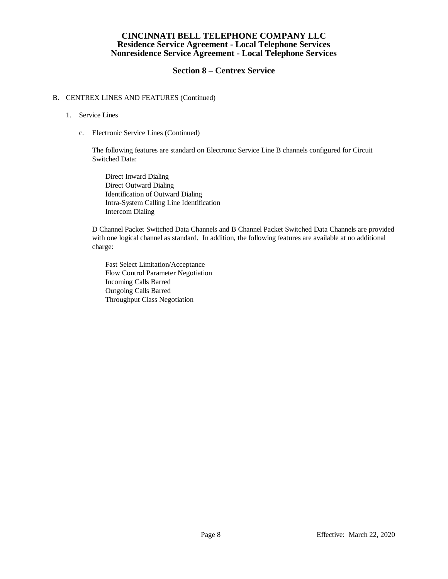## **Section 8 – Centrex Service**

#### B. CENTREX LINES AND FEATURES (Continued)

- 1. Service Lines
	- c. Electronic Service Lines (Continued)

The following features are standard on Electronic Service Line B channels configured for Circuit Switched Data:

Direct Inward Dialing Direct Outward Dialing Identification of Outward Dialing Intra-System Calling Line Identification Intercom Dialing

D Channel Packet Switched Data Channels and B Channel Packet Switched Data Channels are provided with one logical channel as standard. In addition, the following features are available at no additional charge:

Fast Select Limitation/Acceptance Flow Control Parameter Negotiation Incoming Calls Barred Outgoing Calls Barred Throughput Class Negotiation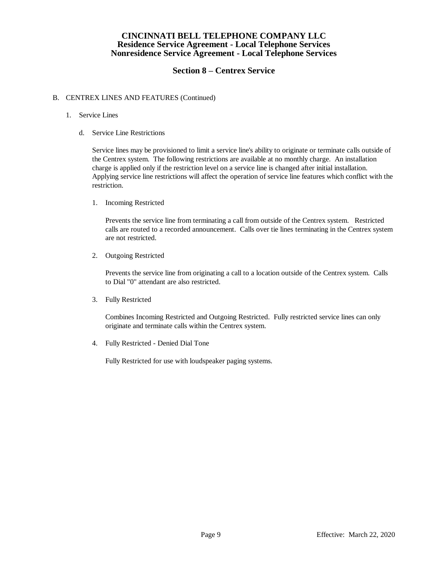## **Section 8 – Centrex Service**

#### B. CENTREX LINES AND FEATURES (Continued)

- 1. Service Lines
	- d. Service Line Restrictions

Service lines may be provisioned to limit a service line's ability to originate or terminate calls outside of the Centrex system. The following restrictions are available at no monthly charge. An installation charge is applied only if the restriction level on a service line is changed after initial installation. Applying service line restrictions will affect the operation of service line features which conflict with the restriction.

1. Incoming Restricted

Prevents the service line from terminating a call from outside of the Centrex system. Restricted calls are routed to a recorded announcement. Calls over tie lines terminating in the Centrex system are not restricted.

2. Outgoing Restricted

Prevents the service line from originating a call to a location outside of the Centrex system. Calls to Dial "0" attendant are also restricted.

3. Fully Restricted

Combines Incoming Restricted and Outgoing Restricted. Fully restricted service lines can only originate and terminate calls within the Centrex system.

4. Fully Restricted - Denied Dial Tone

Fully Restricted for use with loudspeaker paging systems.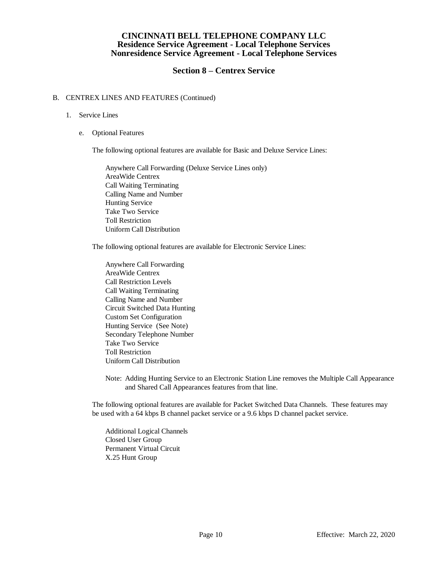## **Section 8 – Centrex Service**

#### B. CENTREX LINES AND FEATURES (Continued)

#### 1. Service Lines

e. Optional Features

The following optional features are available for Basic and Deluxe Service Lines:

Anywhere Call Forwarding (Deluxe Service Lines only) AreaWide Centrex Call Waiting Terminating Calling Name and Number Hunting Service Take Two Service Toll Restriction Uniform Call Distribution

The following optional features are available for Electronic Service Lines:

Anywhere Call Forwarding AreaWide Centrex Call Restriction Levels Call Waiting Terminating Calling Name and Number Circuit Switched Data Hunting Custom Set Configuration Hunting Service (See Note) Secondary Telephone Number Take Two Service Toll Restriction Uniform Call Distribution

Note: Adding Hunting Service to an Electronic Station Line removes the Multiple Call Appearance and Shared Call Appearances features from that line.

The following optional features are available for Packet Switched Data Channels. These features may be used with a 64 kbps B channel packet service or a 9.6 kbps D channel packet service.

Additional Logical Channels Closed User Group Permanent Virtual Circuit X.25 Hunt Group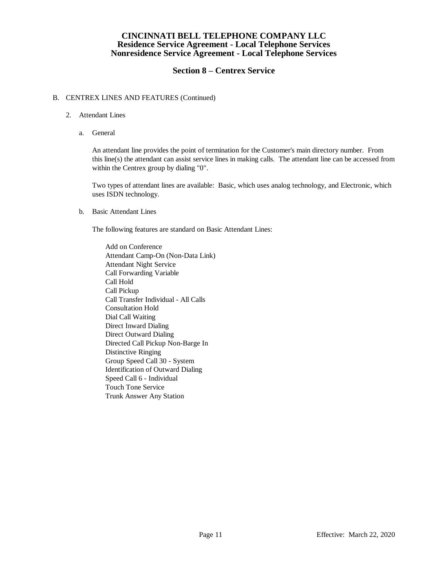## **Section 8 – Centrex Service**

#### B. CENTREX LINES AND FEATURES (Continued)

- 2. Attendant Lines
	- a. General

An attendant line provides the point of termination for the Customer's main directory number. From this line(s) the attendant can assist service lines in making calls. The attendant line can be accessed from within the Centrex group by dialing "0".

Two types of attendant lines are available: Basic, which uses analog technology, and Electronic, which uses ISDN technology.

b. Basic Attendant Lines

The following features are standard on Basic Attendant Lines:

Add on Conference Attendant Camp-On (Non-Data Link) Attendant Night Service Call Forwarding Variable Call Hold Call Pickup Call Transfer Individual - All Calls Consultation Hold Dial Call Waiting Direct Inward Dialing Direct Outward Dialing Directed Call Pickup Non-Barge In Distinctive Ringing Group Speed Call 30 - System Identification of Outward Dialing Speed Call 6 - Individual Touch Tone Service Trunk Answer Any Station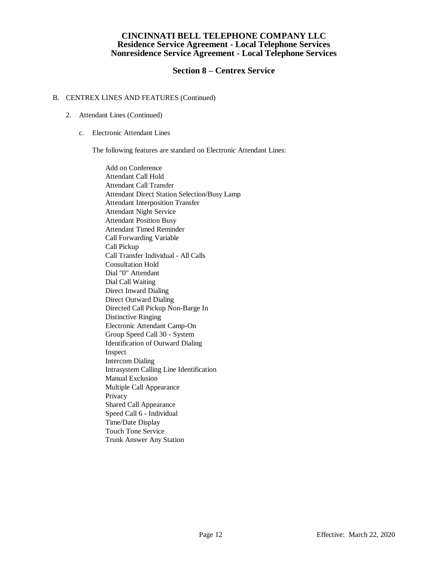## **Section 8 – Centrex Service**

#### B. CENTREX LINES AND FEATURES (Continued)

- 2. Attendant Lines (Continued)
	- c. Electronic Attendant Lines

The following features are standard on Electronic Attendant Lines:

Add on Conference Attendant Call Hold Attendant Call Transfer Attendant Direct Station Selection/Busy Lamp Attendant Interposition Transfer Attendant Night Service Attendant Position Busy Attendant Timed Reminder Call Forwarding Variable Call Pickup Call Transfer Individual - All Calls Consultation Hold Dial "0" Attendant Dial Call Waiting Direct Inward Dialing Direct Outward Dialing Directed Call Pickup Non-Barge In Distinctive Ringing Electronic Attendant Camp-On Group Speed Call 30 - System Identification of Outward Dialing Inspect Intercom Dialing Intrasystem Calling Line Identification Manual Exclusion Multiple Call Appearance Privacy Shared Call Appearance Speed Call 6 - Individual Time/Date Display Touch Tone Service Trunk Answer Any Station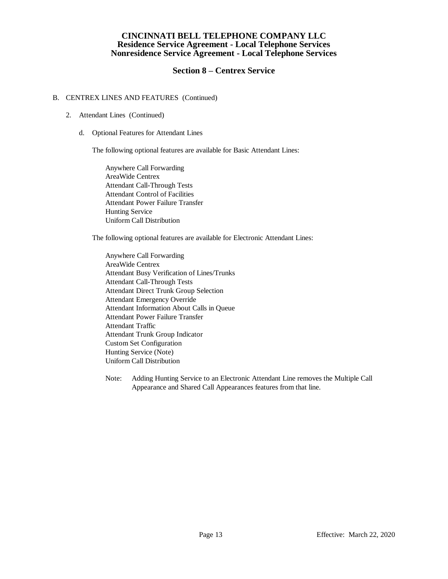## **Section 8 – Centrex Service**

#### B. CENTREX LINES AND FEATURES (Continued)

- 2. Attendant Lines (Continued)
	- d. Optional Features for Attendant Lines

The following optional features are available for Basic Attendant Lines:

Anywhere Call Forwarding AreaWide Centrex Attendant Call-Through Tests Attendant Control of Facilities Attendant Power Failure Transfer Hunting Service Uniform Call Distribution

The following optional features are available for Electronic Attendant Lines:

Anywhere Call Forwarding AreaWide Centrex Attendant Busy Verification of Lines/Trunks Attendant Call-Through Tests Attendant Direct Trunk Group Selection Attendant Emergency Override Attendant Information About Calls in Queue Attendant Power Failure Transfer Attendant Traffic Attendant Trunk Group Indicator Custom Set Configuration Hunting Service (Note) Uniform Call Distribution

Note: Adding Hunting Service to an Electronic Attendant Line removes the Multiple Call Appearance and Shared Call Appearances features from that line.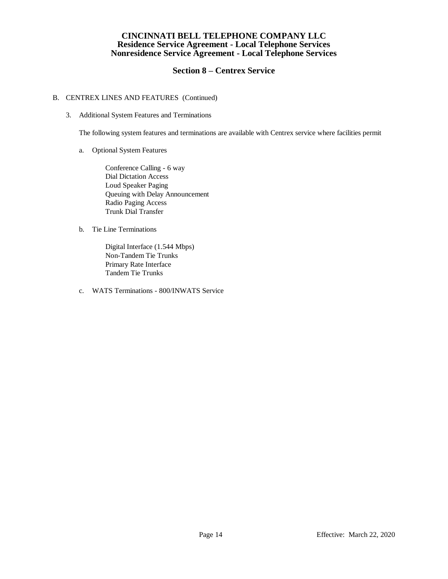## **Section 8 – Centrex Service**

#### B. CENTREX LINES AND FEATURES (Continued)

3. Additional System Features and Terminations

The following system features and terminations are available with Centrex service where facilities permit

a. Optional System Features

Conference Calling - 6 way Dial Dictation Access Loud Speaker Paging Queuing with Delay Announcement Radio Paging Access Trunk Dial Transfer

b. Tie Line Terminations

Digital Interface (1.544 Mbps) Non-Tandem Tie Trunks Primary Rate Interface Tandem Tie Trunks

c. WATS Terminations - 800/INWATS Service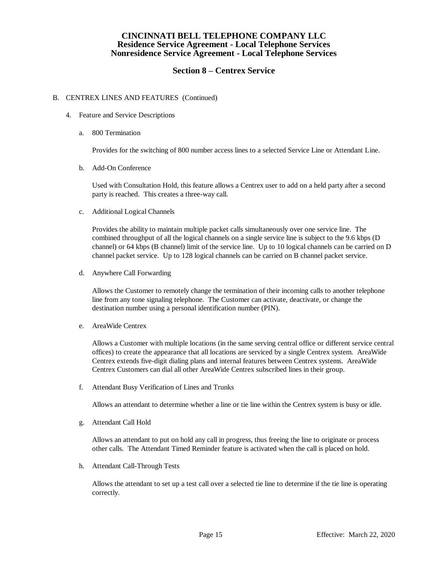## **Section 8 – Centrex Service**

#### B. CENTREX LINES AND FEATURES (Continued)

- 4. Feature and Service Descriptions
	- a. 800 Termination

Provides for the switching of 800 number access lines to a selected Service Line or Attendant Line.

b. Add-On Conference

Used with Consultation Hold, this feature allows a Centrex user to add on a held party after a second party is reached. This creates a three-way call.

c. Additional Logical Channels

Provides the ability to maintain multiple packet calls simultaneously over one service line. The combined throughput of all the logical channels on a single service line is subject to the 9.6 kbps (D channel) or 64 kbps (B channel) limit of the service line. Up to 10 logical channels can be carried on D channel packet service. Up to 128 logical channels can be carried on B channel packet service.

d. Anywhere Call Forwarding

Allows the Customer to remotely change the termination of their incoming calls to another telephone line from any tone signaling telephone. The Customer can activate, deactivate, or change the destination number using a personal identification number (PIN).

e. AreaWide Centrex

Allows a Customer with multiple locations (in the same serving central office or different service central offices) to create the appearance that all locations are serviced by a single Centrex system. AreaWide Centrex extends five-digit dialing plans and internal features between Centrex systems. AreaWide Centrex Customers can dial all other AreaWide Centrex subscribed lines in their group.

f. Attendant Busy Verification of Lines and Trunks

Allows an attendant to determine whether a line or tie line within the Centrex system is busy or idle.

g. Attendant Call Hold

Allows an attendant to put on hold any call in progress, thus freeing the line to originate or process other calls. The Attendant Timed Reminder feature is activated when the call is placed on hold.

h. Attendant Call-Through Tests

Allows the attendant to set up a test call over a selected tie line to determine if the tie line is operating correctly.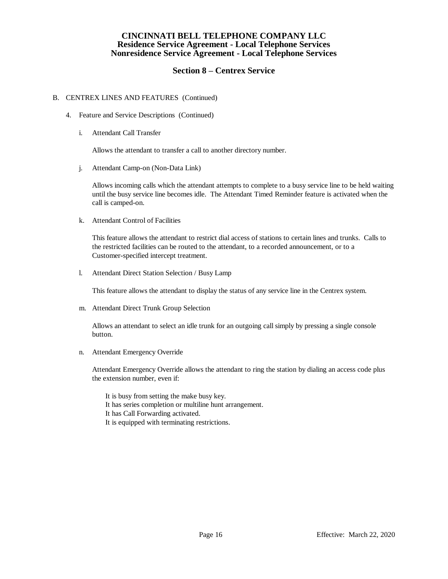## **Section 8 – Centrex Service**

#### B. CENTREX LINES AND FEATURES (Continued)

- 4. Feature and Service Descriptions (Continued)
	- i. Attendant Call Transfer

Allows the attendant to transfer a call to another directory number.

j. Attendant Camp-on (Non-Data Link)

Allows incoming calls which the attendant attempts to complete to a busy service line to be held waiting until the busy service line becomes idle. The Attendant Timed Reminder feature is activated when the call is camped-on.

k. Attendant Control of Facilities

This feature allows the attendant to restrict dial access of stations to certain lines and trunks. Calls to the restricted facilities can be routed to the attendant, to a recorded announcement, or to a Customer-specified intercept treatment.

l. Attendant Direct Station Selection / Busy Lamp

This feature allows the attendant to display the status of any service line in the Centrex system.

m. Attendant Direct Trunk Group Selection

Allows an attendant to select an idle trunk for an outgoing call simply by pressing a single console button.

n. Attendant Emergency Override

Attendant Emergency Override allows the attendant to ring the station by dialing an access code plus the extension number, even if:

- It is busy from setting the make busy key.
- It has series completion or multiline hunt arrangement.
- It has Call Forwarding activated.
- It is equipped with terminating restrictions.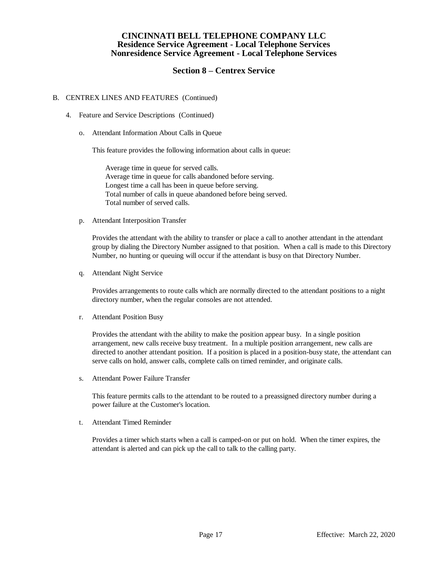## **Section 8 – Centrex Service**

#### B. CENTREX LINES AND FEATURES (Continued)

- 4. Feature and Service Descriptions (Continued)
	- o. Attendant Information About Calls in Queue

This feature provides the following information about calls in queue:

Average time in queue for served calls. Average time in queue for calls abandoned before serving. Longest time a call has been in queue before serving. Total number of calls in queue abandoned before being served. Total number of served calls.

p. Attendant Interposition Transfer

Provides the attendant with the ability to transfer or place a call to another attendant in the attendant group by dialing the Directory Number assigned to that position. When a call is made to this Directory Number, no hunting or queuing will occur if the attendant is busy on that Directory Number.

q. Attendant Night Service

Provides arrangements to route calls which are normally directed to the attendant positions to a night directory number, when the regular consoles are not attended.

r. Attendant Position Busy

Provides the attendant with the ability to make the position appear busy. In a single position arrangement, new calls receive busy treatment. In a multiple position arrangement, new calls are directed to another attendant position. If a position is placed in a position-busy state, the attendant can serve calls on hold, answer calls, complete calls on timed reminder, and originate calls.

s. Attendant Power Failure Transfer

This feature permits calls to the attendant to be routed to a preassigned directory number during a power failure at the Customer's location.

t. Attendant Timed Reminder

Provides a timer which starts when a call is camped-on or put on hold. When the timer expires, the attendant is alerted and can pick up the call to talk to the calling party.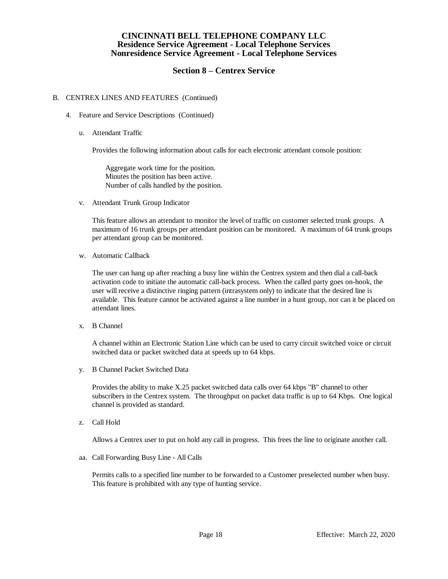## **Section 8 – Centrex Service**

#### B. CENTREX LINES AND FEATURES (Continued)

- 4. Feature and Service Descriptions (Continued)
	- u. Attendant Traffic

Provides the following information about calls for each electronic attendant console position:

Aggregate work time for the position. Minutes the position has been active. Number of calls handled by the position.

v. Attendant Trunk Group Indicator

This feature allows an attendant to monitor the level of traffic on customer selected trunk groups. A maximum of 16 trunk groups per attendant position can be monitored. A maximum of 64 trunk groups per attendant group can be monitored.

w. Automatic Callback

The user can hang up after reaching a busy line within the Centrex system and then dial a call-back activation code to initiate the automatic call-back process. When the called party goes on-hook, the user will receive a distinctive ringing pattern (intrasystem only) to indicate that the desired line is available. This feature cannot be activated against a line number in a hunt group, nor can it be placed on attendant lines.

x. B Channel

A channel within an Electronic Station Line which can be used to carry circuit switched voice or circuit switched data or packet switched data at speeds up to 64 kbps.

y. B Channel Packet Switched Data

Provides the ability to make X.25 packet switched data calls over 64 kbps "B" channel to other subscribers in the Centrex system. The throughput on packet data traffic is up to 64 Kbps. One logical channel is provided as standard.

z. Call Hold

Allows a Centrex user to put on hold any call in progress. This frees the line to originate another call.

aa. Call Forwarding Busy Line - All Calls

Permits calls to a specified line number to be forwarded to a Customer preselected number when busy. This feature is prohibited with any type of hunting service.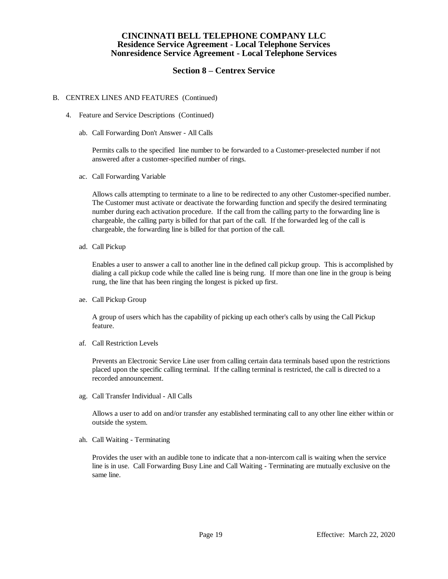## **Section 8 – Centrex Service**

#### B. CENTREX LINES AND FEATURES (Continued)

- 4. Feature and Service Descriptions (Continued)
	- ab. Call Forwarding Don't Answer All Calls

Permits calls to the specified line number to be forwarded to a Customer-preselected number if not answered after a customer-specified number of rings.

ac. Call Forwarding Variable

Allows calls attempting to terminate to a line to be redirected to any other Customer-specified number. The Customer must activate or deactivate the forwarding function and specify the desired terminating number during each activation procedure. If the call from the calling party to the forwarding line is chargeable, the calling party is billed for that part of the call. If the forwarded leg of the call is chargeable, the forwarding line is billed for that portion of the call.

ad. Call Pickup

Enables a user to answer a call to another line in the defined call pickup group. This is accomplished by dialing a call pickup code while the called line is being rung. If more than one line in the group is being rung, the line that has been ringing the longest is picked up first.

ae. Call Pickup Group

A group of users which has the capability of picking up each other's calls by using the Call Pickup feature.

af. Call Restriction Levels

Prevents an Electronic Service Line user from calling certain data terminals based upon the restrictions placed upon the specific calling terminal. If the calling terminal is restricted, the call is directed to a recorded announcement.

ag. Call Transfer Individual - All Calls

Allows a user to add on and/or transfer any established terminating call to any other line either within or outside the system.

ah. Call Waiting - Terminating

Provides the user with an audible tone to indicate that a non-intercom call is waiting when the service line is in use. Call Forwarding Busy Line and Call Waiting - Terminating are mutually exclusive on the same line.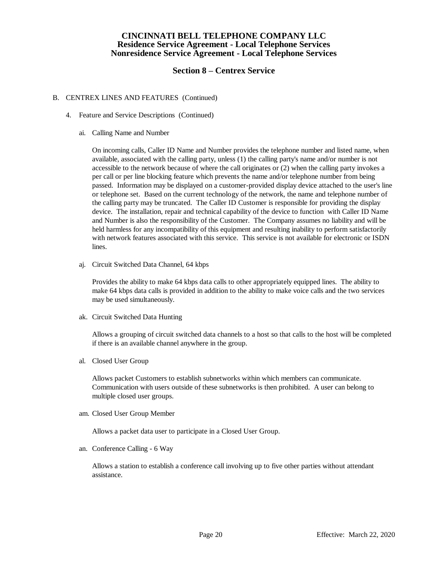## **Section 8 – Centrex Service**

#### B. CENTREX LINES AND FEATURES (Continued)

- 4. Feature and Service Descriptions (Continued)
	- ai. Calling Name and Number

On incoming calls, Caller ID Name and Number provides the telephone number and listed name, when available, associated with the calling party, unless (1) the calling party's name and/or number is not accessible to the network because of where the call originates or (2) when the calling party invokes a per call or per line blocking feature which prevents the name and/or telephone number from being passed. Information may be displayed on a customer-provided display device attached to the user's line or telephone set. Based on the current technology of the network, the name and telephone number of the calling party may be truncated. The Caller ID Customer is responsible for providing the display device. The installation, repair and technical capability of the device to function with Caller ID Name and Number is also the responsibility of the Customer. The Company assumes no liability and will be held harmless for any incompatibility of this equipment and resulting inability to perform satisfactorily with network features associated with this service. This service is not available for electronic or ISDN lines.

aj. Circuit Switched Data Channel, 64 kbps

Provides the ability to make 64 kbps data calls to other appropriately equipped lines. The ability to make 64 kbps data calls is provided in addition to the ability to make voice calls and the two services may be used simultaneously.

ak. Circuit Switched Data Hunting

Allows a grouping of circuit switched data channels to a host so that calls to the host will be completed if there is an available channel anywhere in the group.

al. Closed User Group

Allows packet Customers to establish subnetworks within which members can communicate. Communication with users outside of these subnetworks is then prohibited. A user can belong to multiple closed user groups.

am. Closed User Group Member

Allows a packet data user to participate in a Closed User Group.

an. Conference Calling - 6 Way

Allows a station to establish a conference call involving up to five other parties without attendant assistance.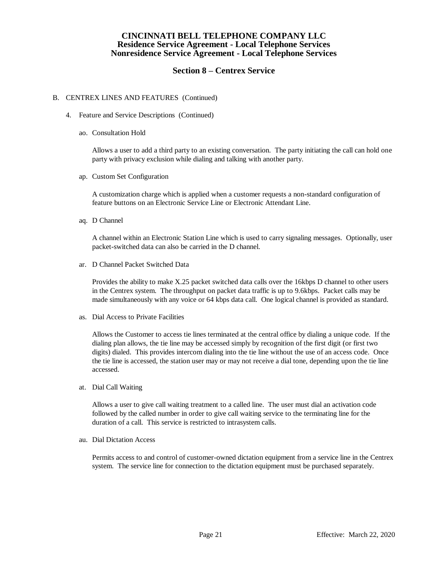## **Section 8 – Centrex Service**

#### B. CENTREX LINES AND FEATURES (Continued)

- 4. Feature and Service Descriptions (Continued)
	- ao. Consultation Hold

Allows a user to add a third party to an existing conversation. The party initiating the call can hold one party with privacy exclusion while dialing and talking with another party.

ap. Custom Set Configuration

A customization charge which is applied when a customer requests a non-standard configuration of feature buttons on an Electronic Service Line or Electronic Attendant Line.

aq. D Channel

A channel within an Electronic Station Line which is used to carry signaling messages. Optionally, user packet-switched data can also be carried in the D channel.

ar. D Channel Packet Switched Data

Provides the ability to make X.25 packet switched data calls over the 16kbps D channel to other users in the Centrex system. The throughput on packet data traffic is up to 9.6kbps. Packet calls may be made simultaneously with any voice or 64 kbps data call. One logical channel is provided as standard.

as. Dial Access to Private Facilities

Allows the Customer to access tie lines terminated at the central office by dialing a unique code. If the dialing plan allows, the tie line may be accessed simply by recognition of the first digit (or first two digits) dialed. This provides intercom dialing into the tie line without the use of an access code. Once the tie line is accessed, the station user may or may not receive a dial tone, depending upon the tie line accessed.

at. Dial Call Waiting

Allows a user to give call waiting treatment to a called line. The user must dial an activation code followed by the called number in order to give call waiting service to the terminating line for the duration of a call. This service is restricted to intrasystem calls.

au. Dial Dictation Access

Permits access to and control of customer-owned dictation equipment from a service line in the Centrex system. The service line for connection to the dictation equipment must be purchased separately.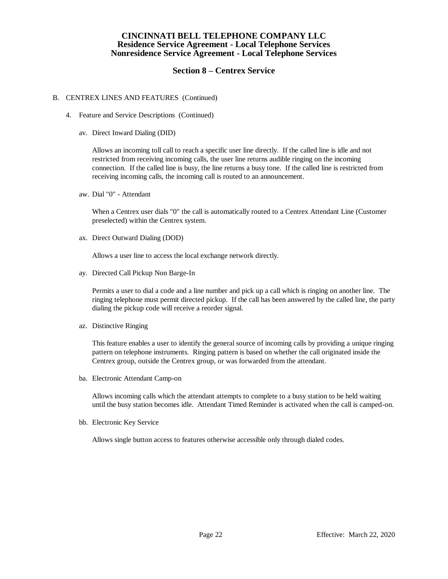## **Section 8 – Centrex Service**

#### B. CENTREX LINES AND FEATURES (Continued)

- 4. Feature and Service Descriptions (Continued)
	- av. Direct Inward Dialing (DID)

Allows an incoming toll call to reach a specific user line directly. If the called line is idle and not restricted from receiving incoming calls, the user line returns audible ringing on the incoming connection. If the called line is busy, the line returns a busy tone. If the called line is restricted from receiving incoming calls, the incoming call is routed to an announcement.

aw. Dial "0" - Attendant

When a Centrex user dials "0" the call is automatically routed to a Centrex Attendant Line (Customer preselected) within the Centrex system.

ax. Direct Outward Dialing (DOD)

Allows a user line to access the local exchange network directly.

ay. Directed Call Pickup Non Barge-In

Permits a user to dial a code and a line number and pick up a call which is ringing on another line. The ringing telephone must permit directed pickup. If the call has been answered by the called line, the party dialing the pickup code will receive a reorder signal.

az. Distinctive Ringing

This feature enables a user to identify the general source of incoming calls by providing a unique ringing pattern on telephone instruments. Ringing pattern is based on whether the call originated inside the Centrex group, outside the Centrex group, or was forwarded from the attendant.

ba. Electronic Attendant Camp-on

Allows incoming calls which the attendant attempts to complete to a busy station to be held waiting until the busy station becomes idle. Attendant Timed Reminder is activated when the call is camped-on.

bb. Electronic Key Service

Allows single button access to features otherwise accessible only through dialed codes.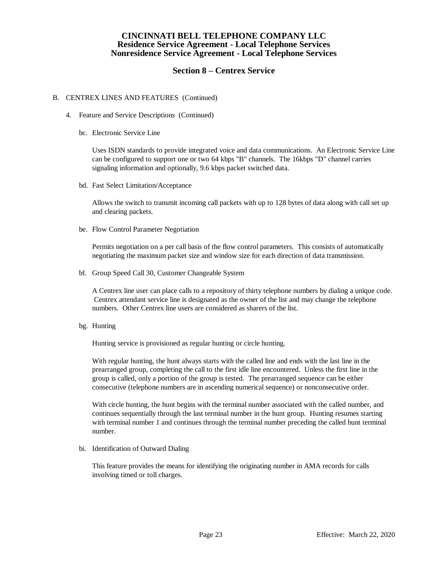## **Section 8 – Centrex Service**

#### B. CENTREX LINES AND FEATURES (Continued)

- 4. Feature and Service Descriptions (Continued)
	- bc. Electronic Service Line

Uses ISDN standards to provide integrated voice and data communications. An Electronic Service Line can be configured to support one or two 64 kbps "B" channels. The 16kbps "D" channel carries signaling information and optionally, 9.6 kbps packet switched data.

bd. Fast Select Limitation/Acceptance

Allows the switch to transmit incoming call packets with up to 128 bytes of data along with call set up and clearing packets.

be. Flow Control Parameter Negotiation

Permits negotiation on a per call basis of the flow control parameters. This consists of automatically negotiating the maximum packet size and window size for each direction of data transmission.

bf. Group Speed Call 30, Customer Changeable System

A Centrex line user can place calls to a repository of thirty telephone numbers by dialing a unique code. Centrex attendant service line is designated as the owner of the list and may change the telephone numbers. Other Centrex line users are considered as sharers of the list.

bg. Hunting

Hunting service is provisioned as regular hunting or circle hunting.

With regular hunting, the hunt always starts with the called line and ends with the last line in the prearranged group, completing the call to the first idle line encountered. Unless the first line in the group is called, only a portion of the group is tested. The prearranged sequence can be either consecutive (telephone numbers are in ascending numerical sequence) or nonconsecutive order.

With circle hunting, the hunt begins with the terminal number associated with the called number, and continues sequentially through the last terminal number in the hunt group. Hunting resumes starting with terminal number 1 and continues through the terminal number preceding the called hunt terminal number.

bi. Identification of Outward Dialing

This feature provides the means for identifying the originating number in AMA records for calls involving timed or toll charges.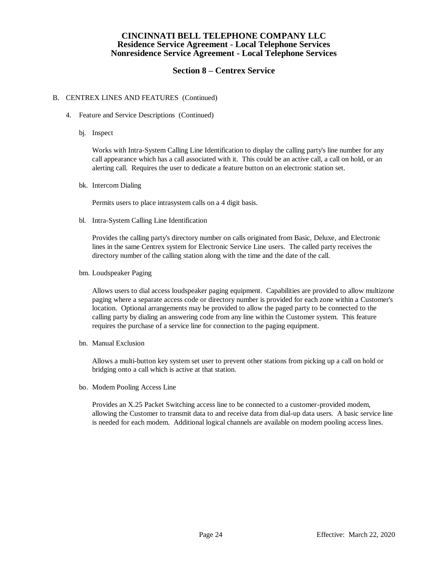## **Section 8 – Centrex Service**

#### B. CENTREX LINES AND FEATURES (Continued)

- 4. Feature and Service Descriptions (Continued)
	- bj. Inspect

Works with Intra-System Calling Line Identification to display the calling party's line number for any call appearance which has a call associated with it. This could be an active call, a call on hold, or an alerting call. Requires the user to dedicate a feature button on an electronic station set.

bk. Intercom Dialing

Permits users to place intrasystem calls on a 4 digit basis.

bl. Intra-System Calling Line Identification

Provides the calling party's directory number on calls originated from Basic, Deluxe, and Electronic lines in the same Centrex system for Electronic Service Line users. The called party receives the directory number of the calling station along with the time and the date of the call.

bm. Loudspeaker Paging

Allows users to dial access loudspeaker paging equipment. Capabilities are provided to allow multizone paging where a separate access code or directory number is provided for each zone within a Customer's location. Optional arrangements may be provided to allow the paged party to be connected to the calling party by dialing an answering code from any line within the Customer system. This feature requires the purchase of a service line for connection to the paging equipment.

bn. Manual Exclusion

Allows a multi-button key system set user to prevent other stations from picking up a call on hold or bridging onto a call which is active at that station.

bo. Modem Pooling Access Line

Provides an X.25 Packet Switching access line to be connected to a customer-provided modem, allowing the Customer to transmit data to and receive data from dial-up data users. A basic service line is needed for each modem. Additional logical channels are available on modem pooling access lines.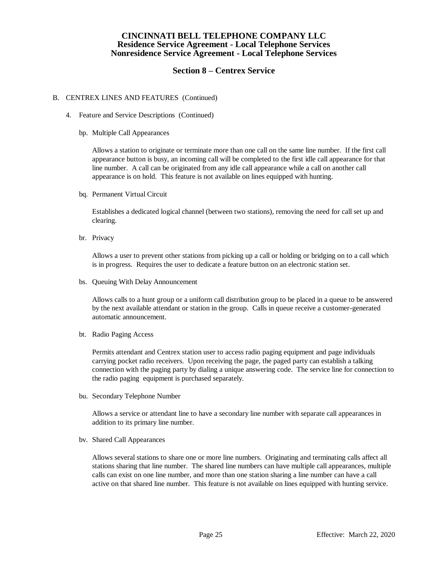## **Section 8 – Centrex Service**

#### B. CENTREX LINES AND FEATURES (Continued)

- 4. Feature and Service Descriptions (Continued)
	- bp. Multiple Call Appearances

Allows a station to originate or terminate more than one call on the same line number. If the first call appearance button is busy, an incoming call will be completed to the first idle call appearance for that line number. A call can be originated from any idle call appearance while a call on another call appearance is on hold. This feature is not available on lines equipped with hunting.

bq. Permanent Virtual Circuit

Establishes a dedicated logical channel (between two stations), removing the need for call set up and clearing.

br. Privacy

Allows a user to prevent other stations from picking up a call or holding or bridging on to a call which is in progress. Requires the user to dedicate a feature button on an electronic station set.

bs. Queuing With Delay Announcement

Allows calls to a hunt group or a uniform call distribution group to be placed in a queue to be answered by the next available attendant or station in the group. Calls in queue receive a customer-generated automatic announcement.

bt. Radio Paging Access

Permits attendant and Centrex station user to access radio paging equipment and page individuals carrying pocket radio receivers. Upon receiving the page, the paged party can establish a talking connection with the paging party by dialing a unique answering code. The service line for connection to the radio paging equipment is purchased separately.

bu. Secondary Telephone Number

Allows a service or attendant line to have a secondary line number with separate call appearances in addition to its primary line number.

bv. Shared Call Appearances

Allows several stations to share one or more line numbers. Originating and terminating calls affect all stations sharing that line number. The shared line numbers can have multiple call appearances, multiple calls can exist on one line number, and more than one station sharing a line number can have a call active on that shared line number. This feature is not available on lines equipped with hunting service.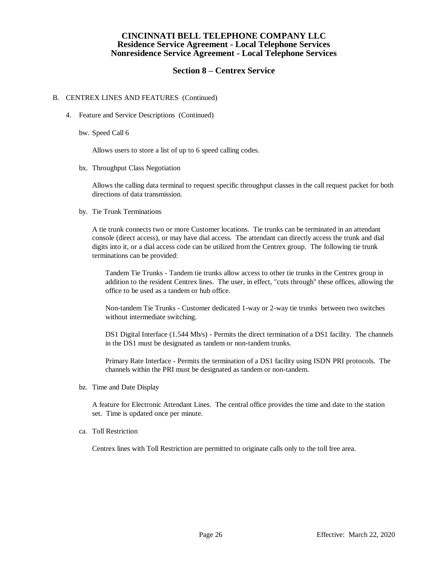## **Section 8 – Centrex Service**

#### B. CENTREX LINES AND FEATURES (Continued)

- 4. Feature and Service Descriptions (Continued)
	- bw. Speed Call 6

Allows users to store a list of up to 6 speed calling codes.

bx. Throughput Class Negotiation

Allows the calling data terminal to request specific throughput classes in the call request packet for both directions of data transmission.

by. Tie Trunk Terminations

A tie trunk connects two or more Customer locations. Tie trunks can be terminated in an attendant console (direct access), or may have dial access. The attendant can directly access the trunk and dial digits into it, or a dial access code can be utilized from the Centrex group. The following tie trunk terminations can be provided:

Tandem Tie Trunks - Tandem tie trunks allow access to other tie trunks in the Centrex group in addition to the resident Centrex lines. The user, in effect, "cuts through" these offices, allowing the office to be used as a tandem or hub office.

Non-tandem Tie Trunks - Customer dedicated 1-way or 2-way tie trunks between two switches without intermediate switching.

DS1 Digital Interface (1.544 Mb/s) - Permits the direct termination of a DS1 facility. The channels in the DS1 must be designated as tandem or non-tandem trunks.

Primary Rate Interface - Permits the termination of a DS1 facility using ISDN PRI protocols. The channels within the PRI must be designated as tandem or non-tandem.

bz. Time and Date Display

A feature for Electronic Attendant Lines. The central office provides the time and date to the station set. Time is updated once per minute.

ca. Toll Restriction

Centrex lines with Toll Restriction are permitted to originate calls only to the toll free area.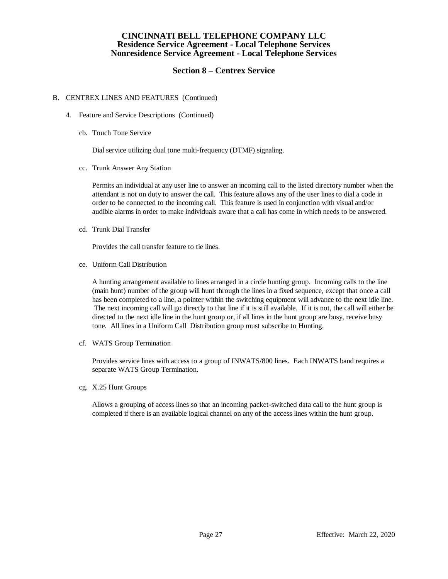## **Section 8 – Centrex Service**

#### B. CENTREX LINES AND FEATURES (Continued)

- 4. Feature and Service Descriptions (Continued)
	- cb. Touch Tone Service

Dial service utilizing dual tone multi-frequency (DTMF) signaling.

cc. Trunk Answer Any Station

Permits an individual at any user line to answer an incoming call to the listed directory number when the attendant is not on duty to answer the call. This feature allows any of the user lines to dial a code in order to be connected to the incoming call. This feature is used in conjunction with visual and/or audible alarms in order to make individuals aware that a call has come in which needs to be answered.

cd. Trunk Dial Transfer

Provides the call transfer feature to tie lines.

ce. Uniform Call Distribution

A hunting arrangement available to lines arranged in a circle hunting group. Incoming calls to the line (main hunt) number of the group will hunt through the lines in a fixed sequence, except that once a call has been completed to a line, a pointer within the switching equipment will advance to the next idle line. The next incoming call will go directly to that line if it is still available. If it is not, the call will either be directed to the next idle line in the hunt group or, if all lines in the hunt group are busy, receive busy tone. All lines in a Uniform Call Distribution group must subscribe to Hunting.

cf. WATS Group Termination

Provides service lines with access to a group of INWATS/800 lines. Each INWATS band requires a separate WATS Group Termination.

cg. X.25 Hunt Groups

Allows a grouping of access lines so that an incoming packet-switched data call to the hunt group is completed if there is an available logical channel on any of the access lines within the hunt group.